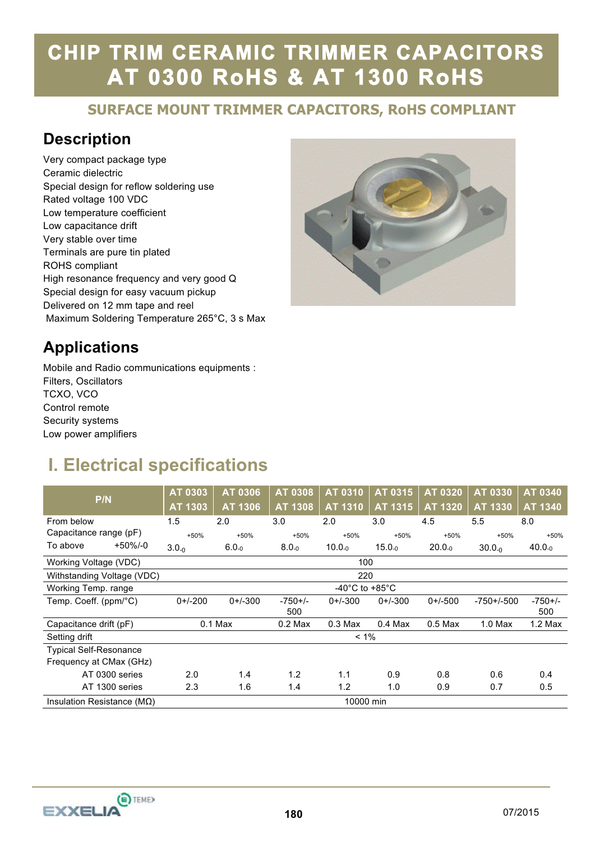# **SURFACE MOUNT TRIMMER CAPACITORS, RoHS COMPLIANT**

#### **Description**

Very compact package type Ceramic dielectric Special design for reflow soldering use Rated voltage 100 VDC Low temperature coefficient Low capacitance drift Very stable over time Terminals are pure tin plated ROHS compliant High resonance frequency and very good Q Special design for easy vacuum pickup Delivered on 12 mm tape and reel Maximum Soldering Temperature 265°C, 3 s Max



#### **Applications**

Mobile and Radio communications equipments : Filters, Oscillators TCXO, VCO Control remote Security systems Low power amplifiers

### **I. Electrical specifications**

| P/N                            | AT 0303<br>AT 1303 | AT 0306<br>AT 1306 | <b>AT 0308</b><br>AT 1308 | AT 0310<br>AT 1310 | AT 0315<br>AT 1315 | AT 0320<br>AT 1320 | AT 0330<br>AT 1330 | <b>AT 0340</b><br>AT 1340 |
|--------------------------------|--------------------|--------------------|---------------------------|--------------------|--------------------|--------------------|--------------------|---------------------------|
| From below                     | 1.5                | 2.0                | 3.0                       | 2.0                | 3.0                | 4.5                | 5.5                | 8.0                       |
| Capacitance range (pF)         | $+50%$             | $+50%$             | $+50%$                    | $+50%$             | $+50%$             | $+50%$             | $+50%$             | $+50%$                    |
| $+50\%/-0$<br>To above         | $3.0 - 0.0$        | $6.0_{-0}$         | $8.0_{-0}$                | $10.0_{-0}$        | $15.0_{-0}$        | $20.0_{-0}$        | $30.0_{-0}$        | $40.0_{-0}$               |
| Working Voltage (VDC)          | 100                |                    |                           |                    |                    |                    |                    |                           |
| Withstanding Voltage (VDC)     | 220                |                    |                           |                    |                    |                    |                    |                           |
| Working Temp. range            | -40°C to +85°C     |                    |                           |                    |                    |                    |                    |                           |
| Temp. Coeff. (ppm/°C)          | $0+/-200$          | $0+/-300$          | $-750+/-$<br>500          | $0+/-300$          | $0+/-300$          | $0+/-500$          | $-750+/-500$       | $-750+/-$<br>500          |
| Capacitance drift (pF)         | $0.1$ Max          |                    | $0.2$ Max                 | $0.3$ Max          | $0.4$ Max          | $0.5$ Max          | $1.0$ Max          | $1.2$ Max                 |
| Setting drift                  | $< 1\%$            |                    |                           |                    |                    |                    |                    |                           |
| <b>Typical Self-Resonance</b>  |                    |                    |                           |                    |                    |                    |                    |                           |
| Frequency at CMax (GHz)        |                    |                    |                           |                    |                    |                    |                    |                           |
| AT 0300 series                 | 2.0                | 1.4                | 1.2                       | 1.1                | 0.9                | 0.8                | 0.6                | 0.4                       |
| AT 1300 series                 | 2.3                | 1.6                | 1.4                       | 1.2                | 1.0                | 0.9                | 0.7                | 0.5                       |
| Insulation Resistance ( $MO$ ) | 10000 min          |                    |                           |                    |                    |                    |                    |                           |

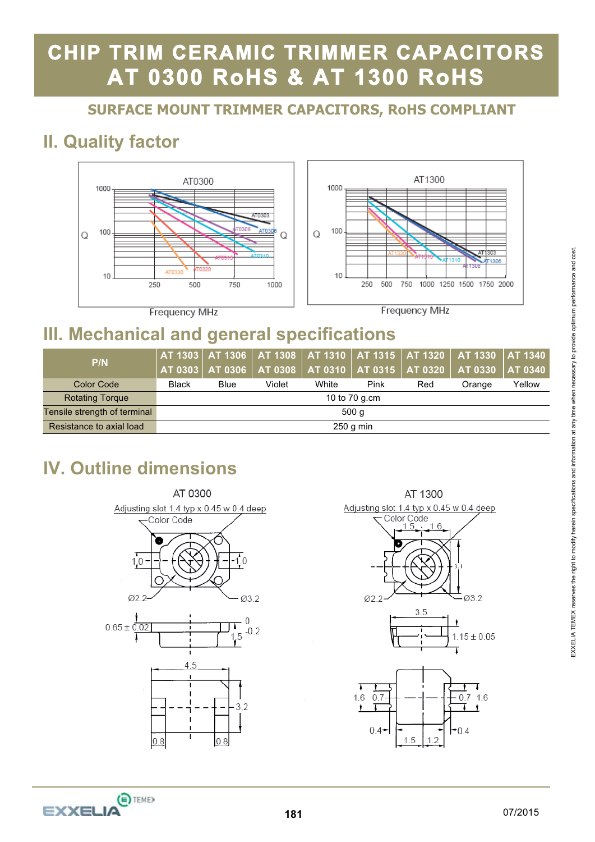# **SURFACE MOUNT TRIMMER CAPACITORS, RoHS COMPLIANT**

## **II. Quality factor**



## **III. Mechanical and general specifications**

| P/N                          |               |      |        |       |      |     | $\mid$ AT 1303 $\mid$ AT 1306 $\mid$ AT 1308 $\mid$ AT 1310 $\mid$ AT 1315 $\mid$ AT 1320 $\mid$ AT 1330 $\mid$ AT 1340<br>$\mid$ AT 0303 $\mid$ AT 0306 $\mid$ AT 0308 $\mid$ AT 0310 $\mid$ AT 0315 $\mid$ AT 0320 $\mid$ AT 0330 $\mid$ AT 0340 |        |
|------------------------------|---------------|------|--------|-------|------|-----|----------------------------------------------------------------------------------------------------------------------------------------------------------------------------------------------------------------------------------------------------|--------|
| <b>Color Code</b>            | <b>Black</b>  | Blue | Violet | White | Pink | Red | Orange                                                                                                                                                                                                                                             | Yellow |
| <b>Rotating Torque</b>       | 10 to 70 g.cm |      |        |       |      |     |                                                                                                                                                                                                                                                    |        |
| Tensile strength of terminal | 500q          |      |        |       |      |     |                                                                                                                                                                                                                                                    |        |
| Resistance to axial load     | $250$ g min   |      |        |       |      |     |                                                                                                                                                                                                                                                    |        |

## **IV. Outline dimensions**



AT 1300 Adjusting slot 1.4 typ x 0.45 w 0.4 deep Color Code





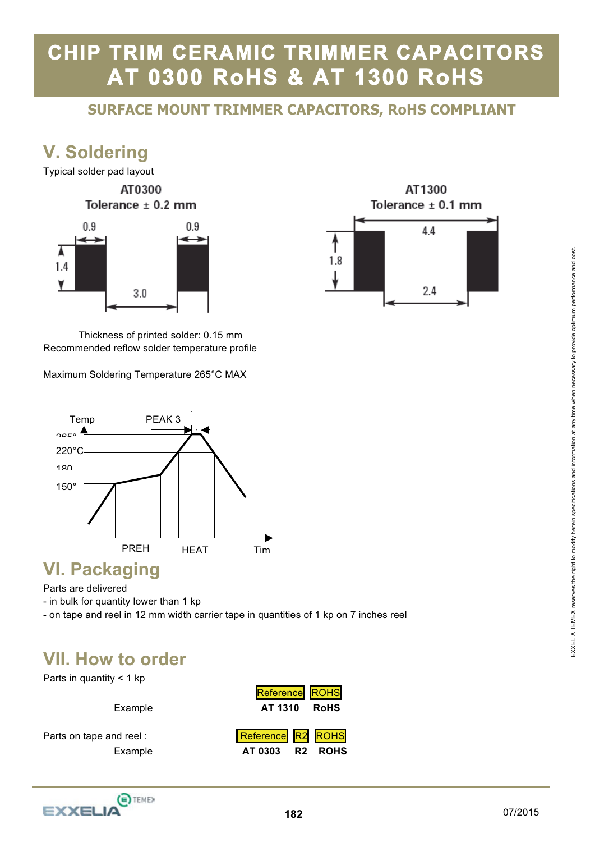# **SURFACE MOUNT TRIMMER CAPACITORS, RoHS COMPLIANT**

### **V. Soldering**



 Thickness of printed solder: 0.15 mm Recommended reflow solder temperature profile

Maximum Soldering Temperature 265°C MAX



#### **VI. Packaging**

Parts are delivered

- in bulk for quantity lower than 1 kp

- on tape and reel in 12 mm width carrier tape in quantities of 1 kp on 7 inches reel

#### **VII. How to order**

Parts in quantity  $<$  1 kp

| Example                            | Reference ROHS<br>AT 1310<br><b>RoHS</b>       |
|------------------------------------|------------------------------------------------|
| Parts on tape and reel:<br>Example | Reference R2 ROHS<br>AT 0303<br><b>R2 ROHS</b> |



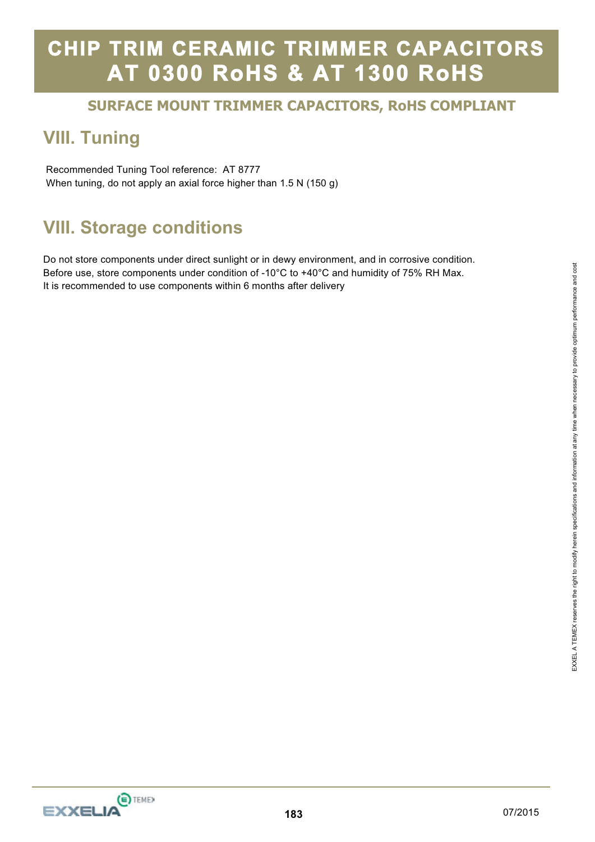# **SURFACE MOUNT TRIMMER CAPACITORS, RoHS COMPLIANT**

### **VIII. Tuning**

 Recommended Tuning Tool reference: AT 8777 When tuning, do not apply an axial force higher than 1.5 N (150 g)

### **VIII. Storage conditions**

Do not store components under direct sunlight or in dewy environment, and in corrosive condition. Before use, store components under condition of -10°C to +40°C and humidity of 75% RH Max. It is recommended to use components within 6 months after delivery

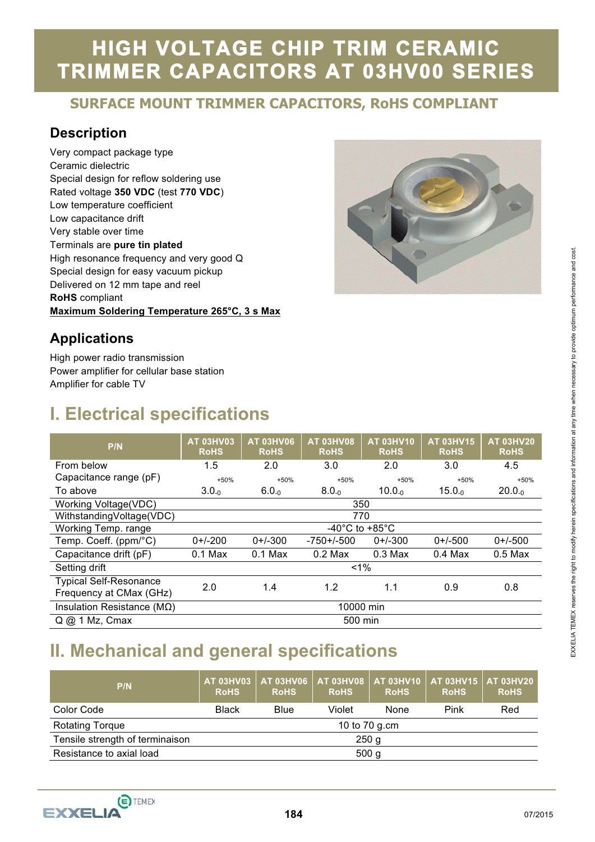# **HIGH VOLTAGE CHIP TRIM CERAMIC TRIMMER CAPACITORS AT 03HV00 SERIES**

# **SURFACE MOUNT TRIMMER CAPACITORS, RoHS COMPLIANT**

#### **Description**

Very compact package type Ceramic dielectric Special design for reflow soldering use Rated voltage **350 VDC** (test **770 VDC**) Low temperature coefficient Low capacitance drift Very stable over time Terminals are **pure tin plated**  High resonance frequency and very good Q Special design for easy vacuum pickup Delivered on 12 mm tape and reel **RoHS** compliant **Maximum Soldering Temperature 265°C, 3 s Max** 



#### **Applications**

High power radio transmission Power amplifier for cellular base station Amplifier for cable TV

## **I. Electrical specifications**

| P/N                                 | <b>AT 03HV03</b><br><b>RoHS</b> | <b>AT 03HV06</b><br><b>RoHS</b>      | <b>AT 03HV08</b><br><b>RoHS</b> | <b>AT 03HV10</b><br><b>RoHS</b> | <b>AT 03HV15</b><br><b>RoHS</b> | <b>AT 03HV20</b><br><b>RoHS</b> |  |
|-------------------------------------|---------------------------------|--------------------------------------|---------------------------------|---------------------------------|---------------------------------|---------------------------------|--|
| From below                          | 1.5                             | 2.0                                  | 3.0                             | 2.0                             | 3.0                             | 4.5                             |  |
| Capacitance range (pF)              | $+50%$                          | $+50%$                               | $+50%$                          | $+50%$                          | $+50%$                          | $+50%$                          |  |
| To above                            | $3.0_{-0}$                      | $6.0_{-0}$                           | $8.0_{-0}$                      | $10.0_{-0}$                     | $15.0-0$                        | $20.0_{-0}$                     |  |
| <b>Working Voltage(VDC)</b>         |                                 |                                      |                                 | 350                             |                                 |                                 |  |
| WithstandingVoltage(VDC)            | 770                             |                                      |                                 |                                 |                                 |                                 |  |
| Working Temp. range                 |                                 | -40 $^{\circ}$ C to +85 $^{\circ}$ C |                                 |                                 |                                 |                                 |  |
| Temp. Coeff. (ppm/°C)               | $0+/-200$                       | $0+/-300$                            | $-750+/-500$                    | $0+/-300$                       | $0+/-500$                       | $0+/-500$                       |  |
| Capacitance drift (pF)              | $0.1$ Max                       | $0.1$ Max                            | $0.2$ Max                       | $0.3$ Max                       | $0.4$ Max                       | $0.5$ Max                       |  |
| Setting drift                       |                                 |                                      |                                 | $1\%$                           |                                 |                                 |  |
| <b>Typical Self-Resonance</b>       | 2.0                             | 1.4                                  | 1.2                             | 1.1                             | 0.9                             | 0.8                             |  |
| Frequency at CMax (GHz)             |                                 |                                      |                                 |                                 |                                 |                                 |  |
| Insulation Resistance ( $M\Omega$ ) | 10000 min                       |                                      |                                 |                                 |                                 |                                 |  |
| $Q$ $@$ 1 Mz, Cmax                  |                                 |                                      | 500 min                         |                                 |                                 |                                 |  |

## **II. Mechanical and general specifications**

| P/N                             | <b>AT 03HV03</b><br><b>RoHS</b> | AT 03HV06<br><b>RoHS</b> | <b>AT 03HV08</b><br><b>RoHS</b> | <b>AT 03HV10</b><br><b>RoHS</b> | <b>AT 03HV15</b><br><b>RoHS</b> | <b>AT 03HV20</b><br><b>RoHS</b> |  |  |
|---------------------------------|---------------------------------|--------------------------|---------------------------------|---------------------------------|---------------------------------|---------------------------------|--|--|
| Color Code                      | <b>Black</b>                    | Blue                     | Violet                          | None                            | Pink                            | Red                             |  |  |
| <b>Rotating Torque</b>          | 10 to 70 g.cm                   |                          |                                 |                                 |                                 |                                 |  |  |
| Tensile strength of terminaison | 250 <sub>g</sub>                |                          |                                 |                                 |                                 |                                 |  |  |
| Resistance to axial load        | 500 <sub>g</sub>                |                          |                                 |                                 |                                 |                                 |  |  |



E TEMEX

EXXEL IA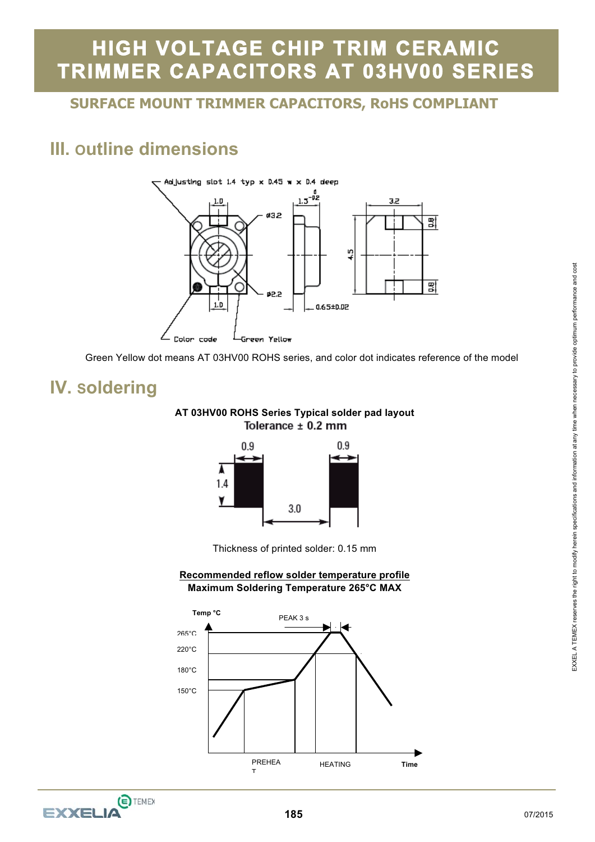# **HIGH VOLTAGE CHIP TRIM CERAMIC TRIMMER CAPACITORS AT 03HV00 SERIES**

# **SURFACE MOUNT TRIMMER CAPACITORS, RoHS COMPLIANT**

## **III. Outline dimensions**



Green Yellow dot means AT 03HV00 ROHS series, and color dot indicates reference of the model

### **IV. Soldering**

#### **AT 03HV00 ROHS Series Typical solder pad layout**  Tolerance ± 0.2 mm



Thickness of printed solder: 0.15 mm

#### **Recommended reflow solder temperature profile Maximum Soldering Temperature 265°C MAX**